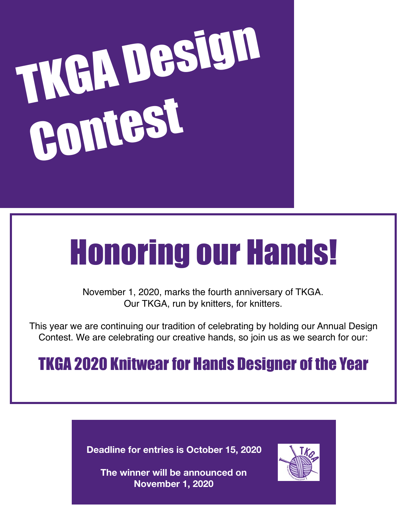# TKGA Design Contest

# Honoring our Hands!

November 1, 2020, marks the fourth anniversary of TKGA. Our TKGA, run by knitters, for knitters.

This year we are continuing our tradition of celebrating by holding our Annual Design Contest. We are celebrating our creative hands, so join us as we search for our:

# TKGA 2020 Knitwear for Hands Designer of the Year

**Deadline for entries is October 15, 2020** 



**The winner will be announced on November 1, 2020**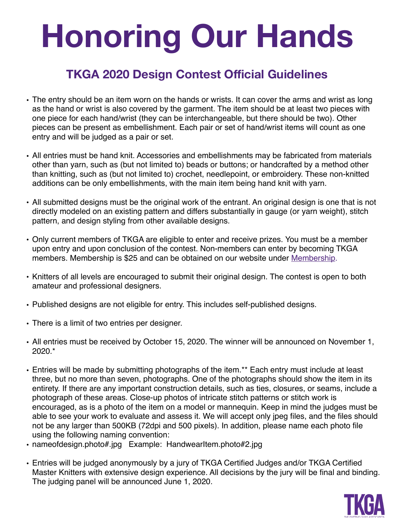# **Honoring Our Hands**

## **TKGA 2020 Design Contest Official Guidelines**

- The entry should be an item worn on the hands or wrists. It can cover the arms and wrist as long as the hand or wrist is also covered by the garment. The item should be at least two pieces with one piece for each hand/wrist (they can be interchangeable, but there should be two). Other pieces can be present as embellishment. Each pair or set of hand/wrist items will count as one entry and will be judged as a pair or set.
- All entries must be hand knit. Accessories and embellishments may be fabricated from materials other than yarn, such as (but not limited to) beads or buttons; or handcrafted by a method other than knitting, such as (but not limited to) crochet, needlepoint, or embroidery. These non-knitted additions can be only embellishments, with the main item being hand knit with yarn.
- All submitted designs must be the original work of the entrant. An original design is one that is not directly modeled on an existing pattern and differs substantially in gauge (or yarn weight), stitch pattern, and design styling from other available designs.
- Only current members of TKGA are eligible to enter and receive prizes. You must be a member upon entry and upon conclusion of the contest. Non-members can enter by becoming TKGA members. Membership is \$25 and can be obtained on our website under Membership.
- Knitters of all levels are encouraged to submit their original design. The contest is open to both amateur and professional designers.
- Published designs are not eligible for entry. This includes self-published designs.
- There is a limit of two entries per designer.
- All entries must be received by October 15, 2020. The winner will be announced on November 1, 2020.\*
- Entries will be made by submitting photographs of the item.\*\* Each entry must include at least three, but no more than seven, photographs. One of the photographs should show the item in its entirety. If there are any important construction details, such as ties, closures, or seams, include a photograph of these areas. Close-up photos of intricate stitch patterns or stitch work is encouraged, as is a photo of the item on a model or mannequin. Keep in mind the judges must be able to see your work to evaluate and assess it. We will accept only jpeg files, and the files should not be any larger than 500KB (72dpi and 500 pixels). In addition, please name each photo file using the following naming convention:
- nameofdesign.photo#.jpg Example: HandwearItem.photo#2.jpg
- Entries will be judged anonymously by a jury of TKGA Certified Judges and/or TKGA Certified Master Knitters with extensive design experience. All decisions by the jury will be final and binding. The judging panel will be announced June 1, 2020.

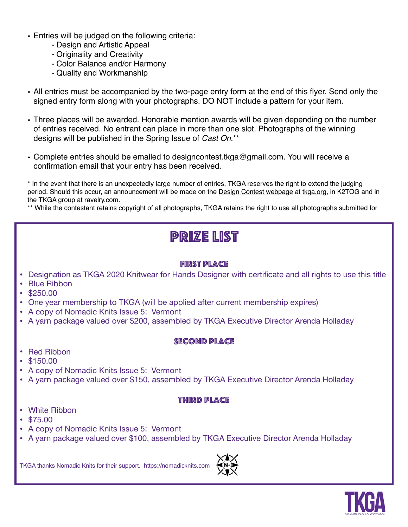- Entries will be judged on the following criteria:
	- Design and Artistic Appeal
	- Originality and Creativity
	- Color Balance and/or Harmony
	- Quality and Workmanship
- All entries must be accompanied by the two-page entry form at the end of this flyer. Send only the signed entry form along with your photographs. DO NOT include a pattern for your item.
- Three places will be awarded. Honorable mention awards will be given depending on the number of entries received. No entrant can place in more than one slot. Photographs of the winning designs will be published in the Spring Issue of *Cast On*.\*\*
- Complete entries should be emailed to designcontest tkga@gmail.com. You will receive a confirmation email that your entry has been received.

\* In the event that there is an unexpectedly large number of entries, TKGA reserves the right to extend the judging period. Should this occur, an announcement will be made on the Design Contest webpage at tkga.org, in K2TOG and in the TKGA group at ravelry.com.

\*\* While the contestant retains copyright of all photographs, TKGA retains the right to use all photographs submitted for

## **PRIZE LIST**

#### **FIRST PLACE**

- **Designation as TKGA 2020 Knitwear for Hands Designer with certificate and all rights to use this title**
- Blue Ribbon
- \$250.00
- One year membership to TKGA (will be applied after current membership expires)
- A copy of Nomadic Knits Issue 5: Vermont
- A yarn package valued over \$200, assembled by TKGA Executive Director Arenda Holladay

#### **SECOND PLACE**

- **Red Ribbon**
- \$150.00
- A copy of Nomadic Knits Issue 5: Vermont
- A yarn package valued over \$150, assembled by TKGA Executive Director Arenda Holladay

#### **THIRD PLACE**

- White Ribbon
- $$75.00$
- A copy of Nomadic Knits Issue 5: Vermont
- A yarn package valued over \$100, assembled by TKGA Executive Director Arenda Holladay

TKGA thanks Nomadic Knits for their support. https://nomadicknits.com



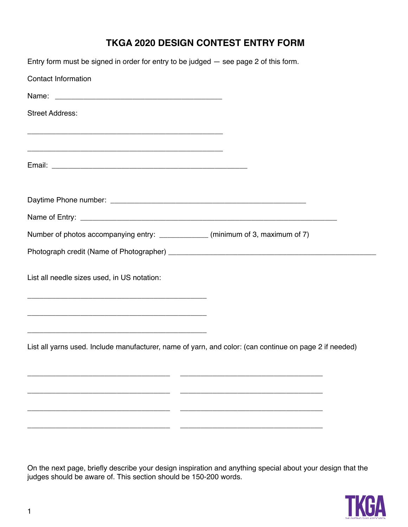### **TKGA 2020 DESIGN CONTEST ENTRY FORM**

| Entry form must be signed in order for entry to be judged - see page 2 of this form.                   |
|--------------------------------------------------------------------------------------------------------|
| <b>Contact Information</b>                                                                             |
|                                                                                                        |
| <b>Street Address:</b><br><u> 1989 - Johann John Stein, marwolaethau (b. 1989)</u>                     |
|                                                                                                        |
|                                                                                                        |
|                                                                                                        |
| Number of photos accompanying entry: ____________ (minimum of 3, maximum of 7)                         |
|                                                                                                        |
| List all needle sizes used, in US notation:                                                            |
|                                                                                                        |
| List all yarns used. Include manufacturer, name of yarn, and color: (can continue on page 2 if needed) |
|                                                                                                        |
|                                                                                                        |
|                                                                                                        |

On the next page, brießy describe your design inspiration and anything special about your design that the judges should be aware of. This section should be 150-200 words.